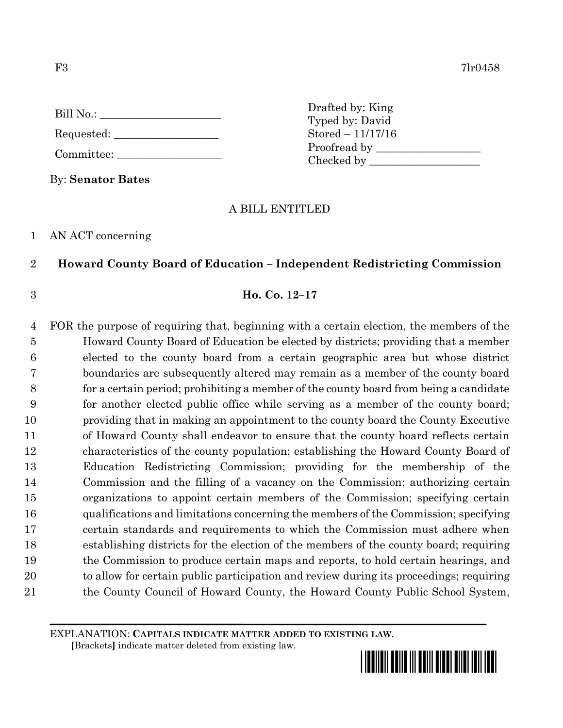| Bill No.: $\_\_$ |  |
|------------------|--|
| Requested: _     |  |

Committee:

By: **Senator Bates**

Drafted by: King Typed by: David Stored – 11/17/16 Proofread by Checked by \_\_\_\_\_\_\_\_\_\_\_\_\_\_\_\_\_\_\_\_

# A BILL ENTITLED

### 1 AN ACT concerning

## 2 **Howard County Board of Education – Independent Redistricting Commission**

# 3 **Ho. Co. 12–17**

 FOR the purpose of requiring that, beginning with a certain election, the members of the Howard County Board of Education be elected by districts; providing that a member elected to the county board from a certain geographic area but whose district boundaries are subsequently altered may remain as a member of the county board for a certain period; prohibiting a member of the county board from being a candidate for another elected public office while serving as a member of the county board; providing that in making an appointment to the county board the County Executive of Howard County shall endeavor to ensure that the county board reflects certain characteristics of the county population; establishing the Howard County Board of Education Redistricting Commission; providing for the membership of the Commission and the filling of a vacancy on the Commission; authorizing certain organizations to appoint certain members of the Commission; specifying certain qualifications and limitations concerning the members of the Commission; specifying certain standards and requirements to which the Commission must adhere when establishing districts for the election of the members of the county board; requiring the Commission to produce certain maps and reports, to hold certain hearings, and to allow for certain public participation and review during its proceedings; requiring 21 the County Council of Howard County, the Howard County Public School System,

EXPLANATION: **CAPITALS INDICATE MATTER ADDED TO EXISTING LAW**.

 **[**Brackets**]** indicate matter deleted from existing law.

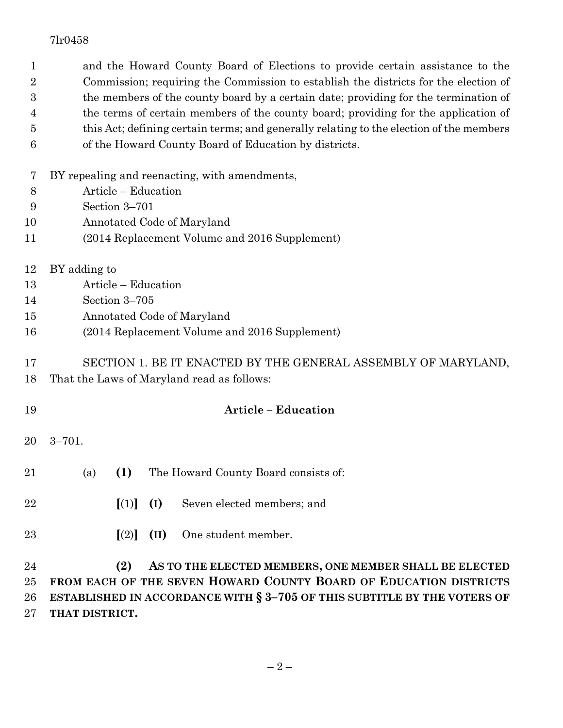| 1                | and the Howard County Board of Elections to provide certain assistance to the           |  |  |  |  |
|------------------|-----------------------------------------------------------------------------------------|--|--|--|--|
| $\boldsymbol{2}$ | Commission; requiring the Commission to establish the districts for the election of     |  |  |  |  |
| 3                | the members of the county board by a certain date; providing for the termination of     |  |  |  |  |
| 4                | the terms of certain members of the county board; providing for the application of      |  |  |  |  |
| 5                | this Act; defining certain terms; and generally relating to the election of the members |  |  |  |  |
| 6                | of the Howard County Board of Education by districts.                                   |  |  |  |  |
| 7                | BY repealing and reenacting, with amendments,                                           |  |  |  |  |
| 8                | Article - Education                                                                     |  |  |  |  |
| 9                | Section 3-701                                                                           |  |  |  |  |
| 10               | Annotated Code of Maryland                                                              |  |  |  |  |
| 11               | (2014 Replacement Volume and 2016 Supplement)                                           |  |  |  |  |
| 12               | BY adding to                                                                            |  |  |  |  |
| 13               | Article - Education                                                                     |  |  |  |  |
| 14               | Section 3-705                                                                           |  |  |  |  |
| 15               | Annotated Code of Maryland                                                              |  |  |  |  |
| 16               | (2014 Replacement Volume and 2016 Supplement)                                           |  |  |  |  |
| 17               | SECTION 1. BE IT ENACTED BY THE GENERAL ASSEMBLY OF MARYLAND,                           |  |  |  |  |
| 18               | That the Laws of Maryland read as follows:                                              |  |  |  |  |
| 19               | <b>Article - Education</b>                                                              |  |  |  |  |
| 20               | $3 - 701.$                                                                              |  |  |  |  |
| 21               | (a) $(1)$<br>The Howard County Board consists of:                                       |  |  |  |  |
|                  |                                                                                         |  |  |  |  |
| $\bf 22$         | [(1)]<br>Seven elected members; and<br>(I)                                              |  |  |  |  |
| 23               | One student member.<br>[(2)]<br>(II)                                                    |  |  |  |  |
| 24               | (2)<br>AS TO THE ELECTED MEMBERS, ONE MEMBER SHALL BE ELECTED                           |  |  |  |  |
| 25               | FROM EACH OF THE SEVEN HOWARD COUNTY BOARD OF EDUCATION DISTRICTS                       |  |  |  |  |
| 26               | ESTABLISHED IN ACCORDANCE WITH § 3-705 OF THIS SUBTITLE BY THE VOTERS OF                |  |  |  |  |

**THAT DISTRICT.**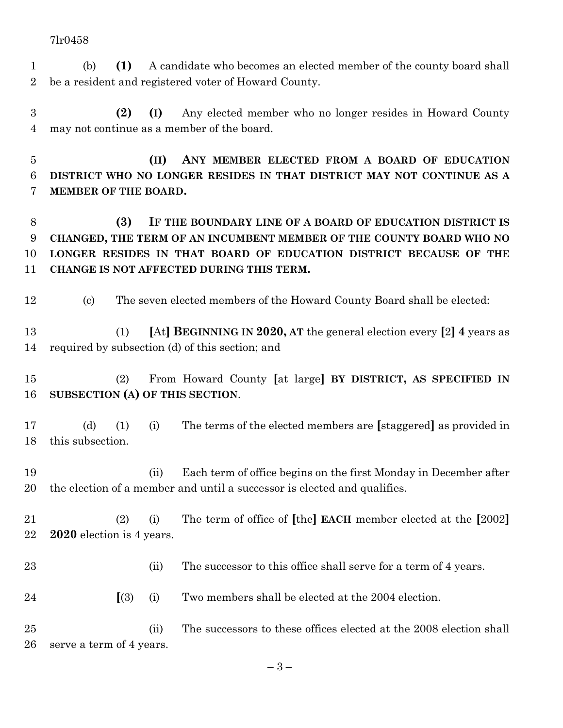- (b) **(1)** A candidate who becomes an elected member of the county board shall be a resident and registered voter of Howard County.
- **(2) (I)** Any elected member who no longer resides in Howard County may not continue as a member of the board.

 **(II) ANY MEMBER ELECTED FROM A BOARD OF EDUCATION DISTRICT WHO NO LONGER RESIDES IN THAT DISTRICT MAY NOT CONTINUE AS A MEMBER OF THE BOARD.**

 **(3) IF THE BOUNDARY LINE OF A BOARD OF EDUCATION DISTRICT IS CHANGED, THE TERM OF AN INCUMBENT MEMBER OF THE COUNTY BOARD WHO NO LONGER RESIDES IN THAT BOARD OF EDUCATION DISTRICT BECAUSE OF THE CHANGE IS NOT AFFECTED DURING THIS TERM.**

- (c) The seven elected members of the Howard County Board shall be elected:
- (1) **[**At**] BEGINNING IN 2020, AT** the general election every **[**2**] 4** years as required by subsection (d) of this section; and
- (2) From Howard County **[**at large**] BY DISTRICT, AS SPECIFIED IN SUBSECTION (A) OF THIS SECTION**.
- (d) (1) (i) The terms of the elected members are **[**staggered**]** as provided in this subsection.
- (ii) Each term of office begins on the first Monday in December after the election of a member and until a successor is elected and qualifies.
- (2) (i) The term of office of **[**the**] EACH** member elected at the **[**2002**] 2020** election is 4 years.
- 23 (ii) The successor to this office shall serve for a term of 4 years.
- **[**(3) (i) Two members shall be elected at the 2004 election.
- (ii) The successors to these offices elected at the 2008 election shall serve a term of 4 years.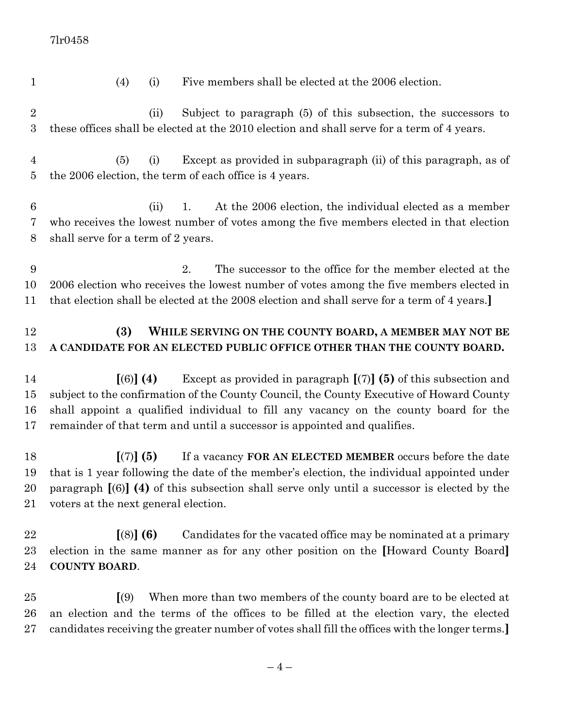| $\mathbf{1}$                     | (4)<br>Five members shall be elected at the 2006 election.<br>(i)                                                                                                                                                                                                                                                                               |  |  |
|----------------------------------|-------------------------------------------------------------------------------------------------------------------------------------------------------------------------------------------------------------------------------------------------------------------------------------------------------------------------------------------------|--|--|
| $\sqrt{2}$<br>$\boldsymbol{3}$   | Subject to paragraph (5) of this subsection, the successors to<br>(ii)<br>these offices shall be elected at the 2010 election and shall serve for a term of 4 years.                                                                                                                                                                            |  |  |
| $\overline{4}$<br>$\overline{5}$ | Except as provided in subparagraph (ii) of this paragraph, as of<br>(5)<br>(i)<br>the 2006 election, the term of each office is 4 years.                                                                                                                                                                                                        |  |  |
| $\boldsymbol{6}$<br>7<br>8       | At the 2006 election, the individual elected as a member<br>(ii)<br>1.<br>who receives the lowest number of votes among the five members elected in that election<br>shall serve for a term of 2 years.                                                                                                                                         |  |  |
| 9<br>10<br>11                    | The successor to the office for the member elected at the<br>2.<br>2006 election who receives the lowest number of votes among the five members elected in<br>that election shall be elected at the 2008 election and shall serve for a term of 4 years.]                                                                                       |  |  |
| 12<br>13                         | (3)<br>WHILE SERVING ON THE COUNTY BOARD, A MEMBER MAY NOT BE<br>A CANDIDATE FOR AN ELECTED PUBLIC OFFICE OTHER THAN THE COUNTY BOARD.                                                                                                                                                                                                          |  |  |
| 14<br>15<br>16<br>17             | Except as provided in paragraph $[(7)]$ (5) of this subsection and<br>$(6)$ (4)<br>subject to the confirmation of the County Council, the County Executive of Howard County<br>shall appoint a qualified individual to fill any vacancy on the county board for the<br>remainder of that term and until a successor is appointed and qualifies. |  |  |
| 18<br>19<br>20<br>21             | [(7)] (5)<br>If a vacancy FOR AN ELECTED MEMBER occurs before the date<br>that is 1 year following the date of the member's election, the individual appointed under<br>paragraph $[(6)]$ (4) of this subsection shall serve only until a successor is elected by the<br>voters at the next general election.                                   |  |  |
| 22<br>23<br>24                   | $[(8)]$ (6)<br>Candidates for the vacated office may be nominated at a primary<br>election in the same manner as for any other position on the [Howard County Board]<br><b>COUNTY BOARD.</b>                                                                                                                                                    |  |  |
| 25<br>26<br>27                   | When more than two members of the county board are to be elected at<br>$\left[ \left( 9\right) \right]$<br>an election and the terms of the offices to be filled at the election vary, the elected<br>candidates receiving the greater number of votes shall fill the offices with the longer terms.                                            |  |  |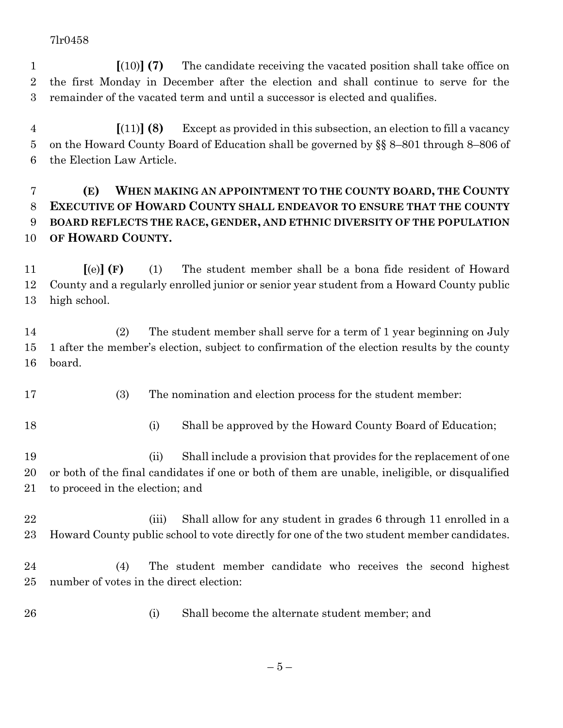**[**(10)**] (7)** The candidate receiving the vacated position shall take office on the first Monday in December after the election and shall continue to serve for the remainder of the vacated term and until a successor is elected and qualifies.

 **[**(11)**] (8)** Except as provided in this subsection, an election to fill a vacancy on the Howard County Board of Education shall be governed by §§ 8–801 through 8–806 of the Election Law Article.

# **(E) WHEN MAKING AN APPOINTMENT TO THE COUNTY BOARD, THE COUNTY EXECUTIVE OF HOWARD COUNTY SHALL ENDEAVOR TO ENSURE THAT THE COUNTY BOARD REFLECTS THE RACE, GENDER, AND ETHNIC DIVERSITY OF THE POPULATION OF HOWARD COUNTY.**

 **[**(e)**] (F)** (1) The student member shall be a bona fide resident of Howard County and a regularly enrolled junior or senior year student from a Howard County public high school.

 (2) The student member shall serve for a term of 1 year beginning on July 1 after the member's election, subject to confirmation of the election results by the county board.

- (3) The nomination and election process for the student member:
- 
- (i) Shall be approved by the Howard County Board of Education;

 (ii) Shall include a provision that provides for the replacement of one or both of the final candidates if one or both of them are unable, ineligible, or disqualified to proceed in the election; and

- 22 (iii) Shall allow for any student in grades 6 through 11 enrolled in a Howard County public school to vote directly for one of the two student member candidates.
- (4) The student member candidate who receives the second highest number of votes in the direct election:
- (i) Shall become the alternate student member; and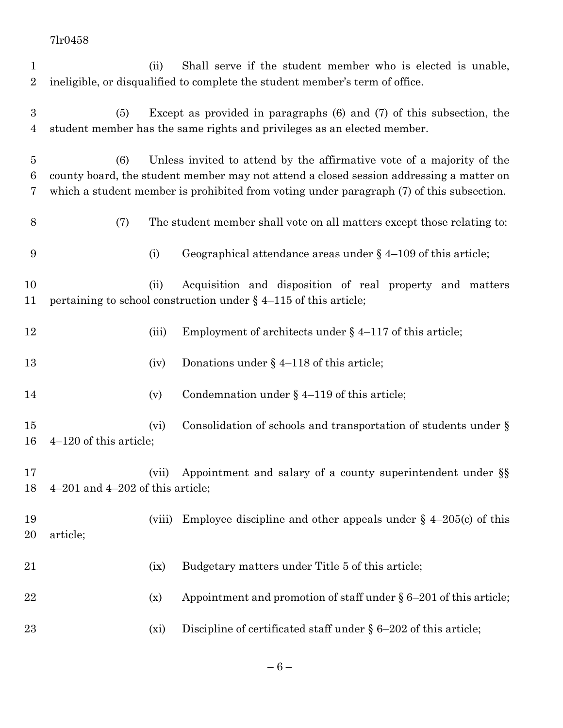| $\mathbf 1$      |                                                                                                                                                                                     | (ii)   | Shall serve if the student member who is elected is unable,                  |
|------------------|-------------------------------------------------------------------------------------------------------------------------------------------------------------------------------------|--------|------------------------------------------------------------------------------|
| $\overline{2}$   |                                                                                                                                                                                     |        | ineligible, or disqualified to complete the student member's term of office. |
|                  |                                                                                                                                                                                     |        |                                                                              |
| $\boldsymbol{3}$ | (5)                                                                                                                                                                                 |        | Except as provided in paragraphs $(6)$ and $(7)$ of this subsection, the     |
| $\overline{4}$   |                                                                                                                                                                                     |        | student member has the same rights and privileges as an elected member.      |
|                  |                                                                                                                                                                                     |        |                                                                              |
| 5<br>6           | (6)                                                                                                                                                                                 |        | Unless invited to attend by the affirmative vote of a majority of the        |
| 7                | county board, the student member may not attend a closed session addressing a matter on<br>which a student member is prohibited from voting under paragraph (7) of this subsection. |        |                                                                              |
|                  |                                                                                                                                                                                     |        |                                                                              |
| 8                | (7)                                                                                                                                                                                 |        | The student member shall vote on all matters except those relating to:       |
| 9                |                                                                                                                                                                                     | (i)    | Geographical attendance areas under $\S$ 4–109 of this article;              |
|                  |                                                                                                                                                                                     |        |                                                                              |
| 10               |                                                                                                                                                                                     | (ii)   | Acquisition and disposition of real property and matters                     |
| 11               |                                                                                                                                                                                     |        | pertaining to school construction under $\S$ 4–115 of this article;          |
|                  |                                                                                                                                                                                     |        |                                                                              |
| 12               |                                                                                                                                                                                     | (iii)  | Employment of architects under $\S$ 4–117 of this article;                   |
| 13               |                                                                                                                                                                                     | (iv)   | Donations under $\S$ 4-118 of this article;                                  |
|                  |                                                                                                                                                                                     |        |                                                                              |
| 14               |                                                                                                                                                                                     | (v)    | Condemnation under $\S$ 4-119 of this article;                               |
|                  |                                                                                                                                                                                     |        |                                                                              |
| 15               |                                                                                                                                                                                     | (vi)   | Consolidation of schools and transportation of students under $\S$           |
|                  | 16<br>$4-120$ of this article;                                                                                                                                                      |        |                                                                              |
| 17               |                                                                                                                                                                                     |        | (vii) Appointment and salary of a county superintendent under §§             |
| 18               | $4-201$ and $4-202$ of this article;                                                                                                                                                |        |                                                                              |
|                  |                                                                                                                                                                                     |        |                                                                              |
| 19               |                                                                                                                                                                                     | (viii) | Employee discipline and other appeals under $\S$ 4-205(c) of this            |
| 20               | article;                                                                                                                                                                            |        |                                                                              |
|                  |                                                                                                                                                                                     |        |                                                                              |
| 21               |                                                                                                                                                                                     | (ix)   | Budgetary matters under Title 5 of this article;                             |
|                  |                                                                                                                                                                                     |        |                                                                              |
| 22               |                                                                                                                                                                                     | (x)    | Appointment and promotion of staff under $\S 6-201$ of this article;         |
|                  |                                                                                                                                                                                     |        |                                                                              |
| 23               |                                                                                                                                                                                     | (xi)   | Discipline of certificated staff under $\S 6-202$ of this article;           |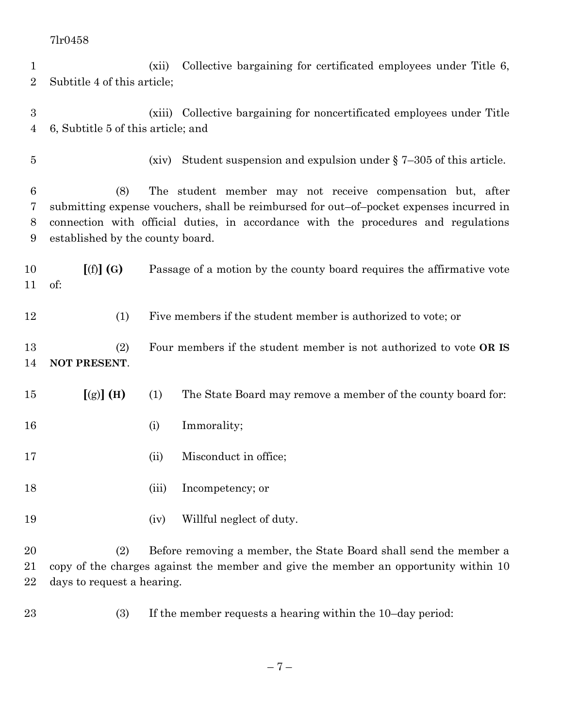| 1<br>$\overline{2}$                | Subtitle 4 of this article;                                                                                                                                                                                                                                                            | (xii) | Collective bargaining for certificated employees under Title 6,                                                                                          |
|------------------------------------|----------------------------------------------------------------------------------------------------------------------------------------------------------------------------------------------------------------------------------------------------------------------------------------|-------|----------------------------------------------------------------------------------------------------------------------------------------------------------|
| $\boldsymbol{3}$<br>$\overline{4}$ | 6, Subtitle 5 of this article; and                                                                                                                                                                                                                                                     |       | (xiii) Collective bargaining for noncertificated employees under Title                                                                                   |
| 5                                  |                                                                                                                                                                                                                                                                                        | (xiv) | Student suspension and expulsion under $\S$ 7-305 of this article.                                                                                       |
| $6\phantom{.}6$<br>7<br>8<br>9     | (8)<br>The student member may not receive compensation but, after<br>submitting expense vouchers, shall be reimbursed for out-of-pocket expenses incurred in<br>connection with official duties, in accordance with the procedures and regulations<br>established by the county board. |       |                                                                                                                                                          |
| 10<br>11                           | [(f)](G)<br>of:                                                                                                                                                                                                                                                                        |       | Passage of a motion by the county board requires the affirmative vote                                                                                    |
| 12                                 | (1)                                                                                                                                                                                                                                                                                    |       | Five members if the student member is authorized to vote; or                                                                                             |
| 13<br>14                           | (2)<br>NOT PRESENT.                                                                                                                                                                                                                                                                    |       | Four members if the student member is not authorized to vote OR IS                                                                                       |
| 15                                 | $[(g)]$ (H)                                                                                                                                                                                                                                                                            | (1)   | The State Board may remove a member of the county board for:                                                                                             |
| 16                                 |                                                                                                                                                                                                                                                                                        | (i)   | Immorality;                                                                                                                                              |
| 17                                 |                                                                                                                                                                                                                                                                                        | (ii)  | Misconduct in office;                                                                                                                                    |
| 18                                 |                                                                                                                                                                                                                                                                                        | (iii) | Incompetency; or                                                                                                                                         |
| 19                                 |                                                                                                                                                                                                                                                                                        | (iv)  | Willful neglect of duty.                                                                                                                                 |
| 20<br>21<br>22                     | (2)<br>days to request a hearing.                                                                                                                                                                                                                                                      |       | Before removing a member, the State Board shall send the member a<br>copy of the charges against the member and give the member an opportunity within 10 |

(3) If the member requests a hearing within the 10–day period: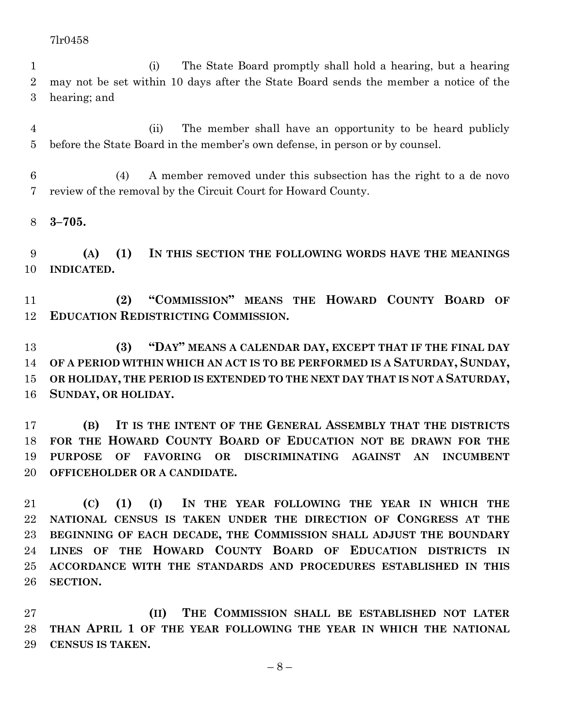(i) The State Board promptly shall hold a hearing, but a hearing may not be set within 10 days after the State Board sends the member a notice of the hearing; and

 (ii) The member shall have an opportunity to be heard publicly before the State Board in the member's own defense, in person or by counsel.

 (4) A member removed under this subsection has the right to a de novo review of the removal by the Circuit Court for Howard County.

**3–705.**

 **(A) (1) IN THIS SECTION THE FOLLOWING WORDS HAVE THE MEANINGS INDICATED.**

 **(2) "COMMISSION" MEANS THE HOWARD COUNTY BOARD OF EDUCATION REDISTRICTING COMMISSION.**

 **(3) "DAY" MEANS A CALENDAR DAY, EXCEPT THAT IF THE FINAL DAY OF A PERIOD WITHIN WHICH AN ACT IS TO BE PERFORMED IS A SATURDAY, SUNDAY, OR HOLIDAY, THE PERIOD IS EXTENDED TO THE NEXT DAY THAT IS NOT A SATURDAY, SUNDAY, OR HOLIDAY.**

 **(B) IT IS THE INTENT OF THE GENERAL ASSEMBLY THAT THE DISTRICTS FOR THE HOWARD COUNTY BOARD OF EDUCATION NOT BE DRAWN FOR THE PURPOSE OF FAVORING OR DISCRIMINATING AGAINST AN INCUMBENT OFFICEHOLDER OR A CANDIDATE.**

 **(C) (1) (I) IN THE YEAR FOLLOWING THE YEAR IN WHICH THE NATIONAL CENSUS IS TAKEN UNDER THE DIRECTION OF CONGRESS AT THE BEGINNING OF EACH DECADE, THE COMMISSION SHALL ADJUST THE BOUNDARY LINES OF THE HOWARD COUNTY BOARD OF EDUCATION DISTRICTS IN ACCORDANCE WITH THE STANDARDS AND PROCEDURES ESTABLISHED IN THIS SECTION.**

 **(II) THE COMMISSION SHALL BE ESTABLISHED NOT LATER THAN APRIL 1 OF THE YEAR FOLLOWING THE YEAR IN WHICH THE NATIONAL CENSUS IS TAKEN.**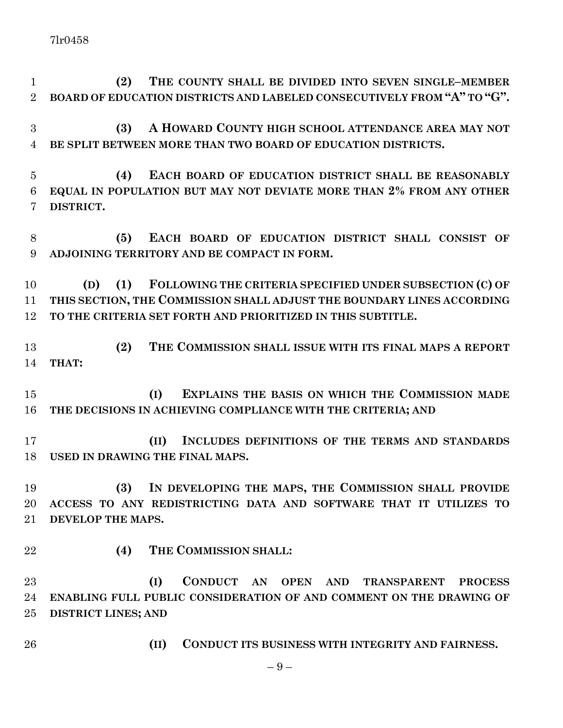**(2) THE COUNTY SHALL BE DIVIDED INTO SEVEN SINGLE–MEMBER BOARD OF EDUCATION DISTRICTS AND LABELED CONSECUTIVELY FROM "A" TO "G".**

 **(3) A HOWARD COUNTY HIGH SCHOOL ATTENDANCE AREA MAY NOT BE SPLIT BETWEEN MORE THAN TWO BOARD OF EDUCATION DISTRICTS.**

 **(4) EACH BOARD OF EDUCATION DISTRICT SHALL BE REASONABLY EQUAL IN POPULATION BUT MAY NOT DEVIATE MORE THAN 2% FROM ANY OTHER DISTRICT.**

 **(5) EACH BOARD OF EDUCATION DISTRICT SHALL CONSIST OF ADJOINING TERRITORY AND BE COMPACT IN FORM.**

 **(D) (1) FOLLOWING THE CRITERIA SPECIFIED UNDER SUBSECTION (C) OF THIS SECTION, THE COMMISSION SHALL ADJUST THE BOUNDARY LINES ACCORDING TO THE CRITERIA SET FORTH AND PRIORITIZED IN THIS SUBTITLE.**

 **(2) THE COMMISSION SHALL ISSUE WITH ITS FINAL MAPS A REPORT THAT:**

 **(I) EXPLAINS THE BASIS ON WHICH THE COMMISSION MADE THE DECISIONS IN ACHIEVING COMPLIANCE WITH THE CRITERIA; AND** 

 **(II) INCLUDES DEFINITIONS OF THE TERMS AND STANDARDS USED IN DRAWING THE FINAL MAPS.**

 **(3) IN DEVELOPING THE MAPS, THE COMMISSION SHALL PROVIDE ACCESS TO ANY REDISTRICTING DATA AND SOFTWARE THAT IT UTILIZES TO DEVELOP THE MAPS.**

**(4) THE COMMISSION SHALL:**

 **(I) CONDUCT AN OPEN AND TRANSPARENT PROCESS ENABLING FULL PUBLIC CONSIDERATION OF AND COMMENT ON THE DRAWING OF DISTRICT LINES; AND**

**(II) CONDUCT ITS BUSINESS WITH INTEGRITY AND FAIRNESS.**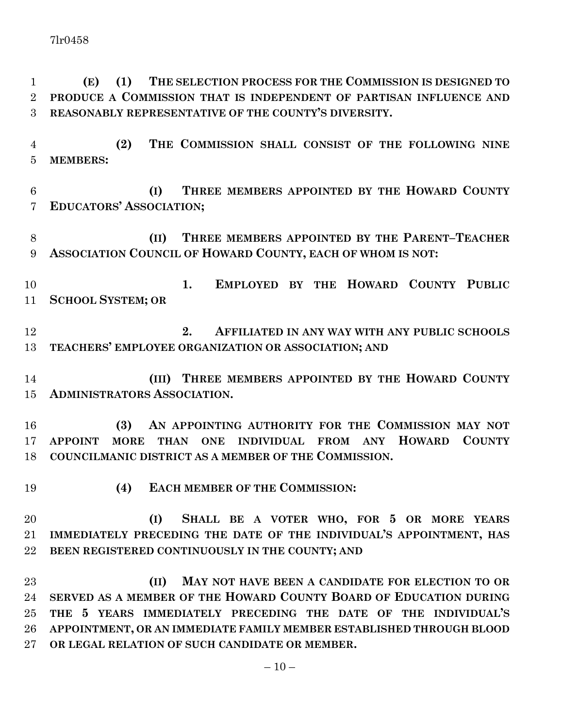**(E) (1) THE SELECTION PROCESS FOR THE COMMISSION IS DESIGNED TO PRODUCE A COMMISSION THAT IS INDEPENDENT OF PARTISAN INFLUENCE AND REASONABLY REPRESENTATIVE OF THE COUNTY'S DIVERSITY.**

 **(2) THE COMMISSION SHALL CONSIST OF THE FOLLOWING NINE MEMBERS:**

 **(I) THREE MEMBERS APPOINTED BY THE HOWARD COUNTY EDUCATORS' ASSOCIATION;**

 **(II) THREE MEMBERS APPOINTED BY THE PARENT–TEACHER ASSOCIATION COUNCIL OF HOWARD COUNTY, EACH OF WHOM IS NOT:**

 **1. EMPLOYED BY THE HOWARD COUNTY PUBLIC SCHOOL SYSTEM; OR**

 **2. AFFILIATED IN ANY WAY WITH ANY PUBLIC SCHOOLS TEACHERS' EMPLOYEE ORGANIZATION OR ASSOCIATION; AND**

 **(III) THREE MEMBERS APPOINTED BY THE HOWARD COUNTY ADMINISTRATORS ASSOCIATION.**

 **(3) AN APPOINTING AUTHORITY FOR THE COMMISSION MAY NOT APPOINT MORE THAN ONE INDIVIDUAL FROM ANY HOWARD COUNTY COUNCILMANIC DISTRICT AS A MEMBER OF THE COMMISSION.**

**(4) EACH MEMBER OF THE COMMISSION:**

 **(I) SHALL BE A VOTER WHO, FOR 5 OR MORE YEARS IMMEDIATELY PRECEDING THE DATE OF THE INDIVIDUAL'S APPOINTMENT, HAS BEEN REGISTERED CONTINUOUSLY IN THE COUNTY; AND**

 **(II) MAY NOT HAVE BEEN A CANDIDATE FOR ELECTION TO OR SERVED AS A MEMBER OF THE HOWARD COUNTY BOARD OF EDUCATION DURING THE 5 YEARS IMMEDIATELY PRECEDING THE DATE OF THE INDIVIDUAL'S APPOINTMENT, OR AN IMMEDIATE FAMILY MEMBER ESTABLISHED THROUGH BLOOD OR LEGAL RELATION OF SUCH CANDIDATE OR MEMBER.**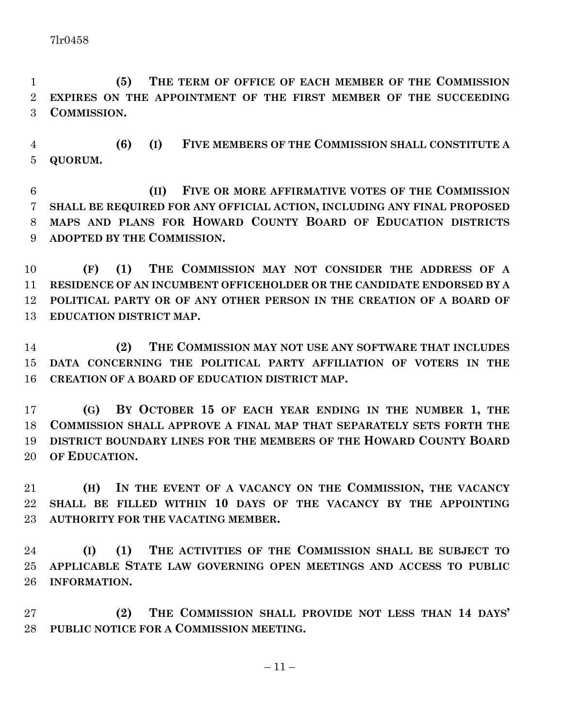**(5) THE TERM OF OFFICE OF EACH MEMBER OF THE COMMISSION EXPIRES ON THE APPOINTMENT OF THE FIRST MEMBER OF THE SUCCEEDING COMMISSION.**

 **(6) (I) FIVE MEMBERS OF THE COMMISSION SHALL CONSTITUTE A QUORUM.**

 **(II) FIVE OR MORE AFFIRMATIVE VOTES OF THE COMMISSION SHALL BE REQUIRED FOR ANY OFFICIAL ACTION, INCLUDING ANY FINAL PROPOSED MAPS AND PLANS FOR HOWARD COUNTY BOARD OF EDUCATION DISTRICTS ADOPTED BY THE COMMISSION.**

 **(F) (1) THE COMMISSION MAY NOT CONSIDER THE ADDRESS OF A RESIDENCE OF AN INCUMBENT OFFICEHOLDER OR THE CANDIDATE ENDORSED BY A POLITICAL PARTY OR OF ANY OTHER PERSON IN THE CREATION OF A BOARD OF EDUCATION DISTRICT MAP.**

 **(2) THE COMMISSION MAY NOT USE ANY SOFTWARE THAT INCLUDES DATA CONCERNING THE POLITICAL PARTY AFFILIATION OF VOTERS IN THE CREATION OF A BOARD OF EDUCATION DISTRICT MAP.**

 **(G) BY OCTOBER 15 OF EACH YEAR ENDING IN THE NUMBER 1, THE COMMISSION SHALL APPROVE A FINAL MAP THAT SEPARATELY SETS FORTH THE DISTRICT BOUNDARY LINES FOR THE MEMBERS OF THE HOWARD COUNTY BOARD OF EDUCATION.**

 **(H) IN THE EVENT OF A VACANCY ON THE COMMISSION, THE VACANCY SHALL BE FILLED WITHIN 10 DAYS OF THE VACANCY BY THE APPOINTING AUTHORITY FOR THE VACATING MEMBER.**

 **(I) (1) THE ACTIVITIES OF THE COMMISSION SHALL BE SUBJECT TO APPLICABLE STATE LAW GOVERNING OPEN MEETINGS AND ACCESS TO PUBLIC INFORMATION.**

 **(2) THE COMMISSION SHALL PROVIDE NOT LESS THAN 14 DAYS' PUBLIC NOTICE FOR A COMMISSION MEETING.**

 $-11-$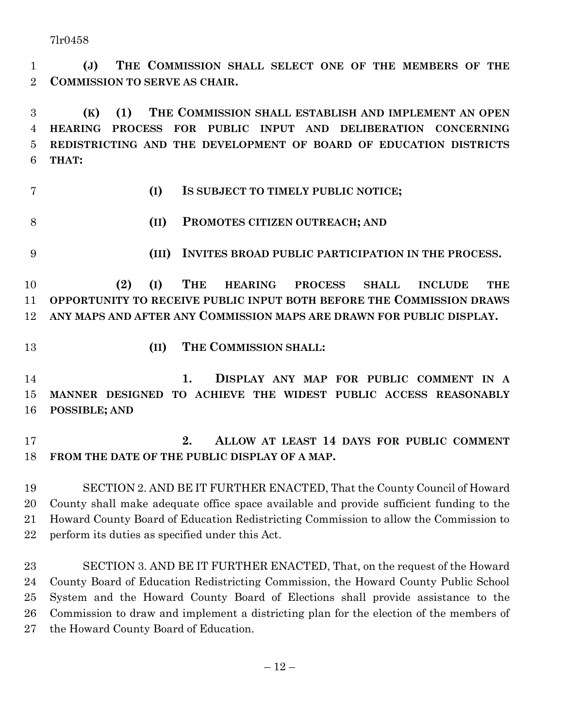**(J) THE COMMISSION SHALL SELECT ONE OF THE MEMBERS OF THE COMMISSION TO SERVE AS CHAIR.**

 **(K) (1) THE COMMISSION SHALL ESTABLISH AND IMPLEMENT AN OPEN HEARING PROCESS FOR PUBLIC INPUT AND DELIBERATION CONCERNING REDISTRICTING AND THE DEVELOPMENT OF BOARD OF EDUCATION DISTRICTS THAT:**

- 
- **(I) IS SUBJECT TO TIMELY PUBLIC NOTICE;**
- **(II) PROMOTES CITIZEN OUTREACH; AND**
- **(III) INVITES BROAD PUBLIC PARTICIPATION IN THE PROCESS.**

 **(2) (I) THE HEARING PROCESS SHALL INCLUDE THE OPPORTUNITY TO RECEIVE PUBLIC INPUT BOTH BEFORE THE COMMISSION DRAWS ANY MAPS AND AFTER ANY COMMISSION MAPS ARE DRAWN FOR PUBLIC DISPLAY.**

- 
- **(II) THE COMMISSION SHALL:**

 **1. DISPLAY ANY MAP FOR PUBLIC COMMENT IN A MANNER DESIGNED TO ACHIEVE THE WIDEST PUBLIC ACCESS REASONABLY POSSIBLE; AND**

 **2. ALLOW AT LEAST 14 DAYS FOR PUBLIC COMMENT FROM THE DATE OF THE PUBLIC DISPLAY OF A MAP.**

 SECTION 2. AND BE IT FURTHER ENACTED, That the County Council of Howard County shall make adequate office space available and provide sufficient funding to the Howard County Board of Education Redistricting Commission to allow the Commission to perform its duties as specified under this Act.

 SECTION 3. AND BE IT FURTHER ENACTED, That, on the request of the Howard County Board of Education Redistricting Commission, the Howard County Public School System and the Howard County Board of Elections shall provide assistance to the Commission to draw and implement a districting plan for the election of the members of the Howard County Board of Education.